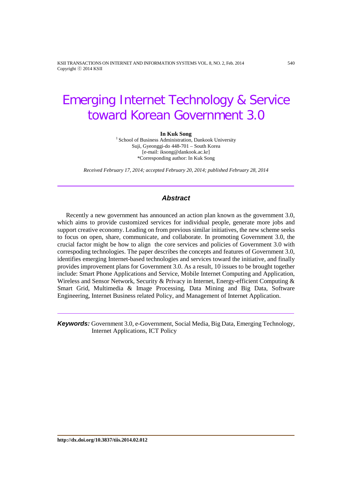KSII TRANSACTIONS ON INTERNET AND INFORMATION SYSTEMS VOL. 8, NO. 2, Feb. 2014 540 Copyright ⓒ 2014 KSII

# Emerging Internet Technology & Service toward Korean Government 3.0

**In Kuk Song**<br><sup>1</sup> School of Business Administration, Dankook University Suji, Gyeonggi-do 448-701 – South Korea [e-mail: iksong@dankook.ac.kr] \*Corresponding author: In Kuk Song

*Received February 17, 2014; accepted February 20, 2014; published February 28, 2014*

### *Abstract*

Recently a new government has announced an action plan known as the government 3.0, which aims to provide customized services for individual people, generate more jobs and support creative economy. Leading on from previous similar initiatives, the new scheme seeks to focus on open, share, communicate, and collaborate. In promoting Government 3.0, the crucial factor might be how to align the core services and policies of Government 3.0 with correspoding technologies. The paper describes the concepts and features of Government 3.0, identifies emerging Internet-based technologies and services toward the initiative, and finally provides improvement plans for Government 3.0. As a result, 10 issues to be brought together include: Smart Phone Applications and Service, Mobile Internet Computing and Application, Wireless and Sensor Network, Security & Privacy in Internet, Energy-efficient Computing & Smart Grid, Multimedia & Image Processing, Data Mining and Big Data, Software Engineering, Internet Business related Policy, and Management of Internet Application.

*Keywords:* Government 3.0, e-Government, Social Media, Big Data, Emerging Technology, Internet Applications, ICT Policy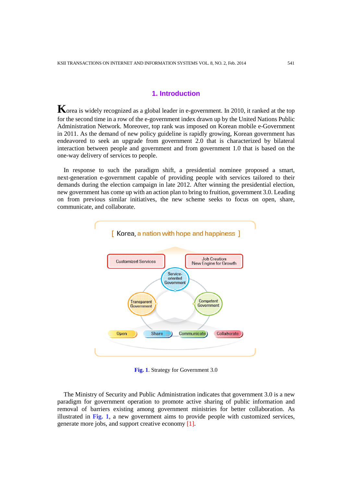# **1. Introduction**

**K**orea is widely recognized as a global leader in e-government. In 2010, it ranked at the top for the second time in a row of the e-government index drawn up by the United Nations Public Administration Network. Moreover, top rank was imposed on Korean mobile e-Government in 2011. As the demand of new policy guideline is rapidly growing, Korean government has endeavored to seek an upgrade from government 2.0 that is characterized by bilateral interaction between people and government and from government 1.0 that is based on the one-way delivery of services to people.

In response to such the paradigm shift, a presidential nominee proposed a smart, next-generation e-government capable of providing people with services tailored to their demands during the election campaign in late 2012. After winning the presidential election, new government has come up with an action plan to bring to fruition, government 3.0. Leading on from previous similar initiatives, the new scheme seeks to focus on open, share, communicate, and collaborate.



**Fig. 1**. Strategy for Government 3.0

The Ministry of Security and Public Administration indicates that government 3.0 is a new paradigm for government operation to promote active sharing of public information and removal of barriers existing among government ministries for better collaboration. As illustrated in **Fig. 1**, a new government aims to provide people with customized services, generate more jobs, and support creative economy [1].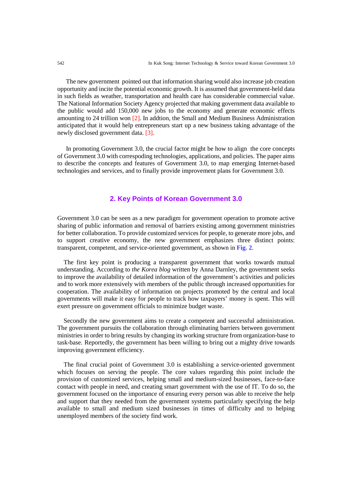The new government pointed out that information sharing would also increase job creation opportunity and incite the potential economic growth. It is assumed that government-held data in such fields as weather, transportation and health care has considerable commercial value. The National Information Society Agency projected that making government data available to the public would add 150,000 new jobs to the economy and generate economic effects amounting to 24 trillion won [2]. In addtion, the Small and Medium Business Administration anticipated that it would help entrepreneurs start up a new business taking advantage of the newly disclosed government data. [3].

In promoting Government 3.0, the crucial factor might be how to align the core concepts of Government 3.0 with correspoding technologies, applications, and policies. The paper aims to describe the concepts and features of Government 3.0, to map emerging Internet-based technologies and services, and to finally provide improvement plans for Government 3.0.

#### **2. Key Points of Korean Government 3.0**

Government 3.0 can be seen as a new paradigm for government operation to promote active sharing of public information and removal of barriers existing among government ministries for better collaboration. To provide customized services for people, to generate more jobs, and to support creative economy, the new government emphasizes three distinct points: transparent, competent, and service-oriented government, as shown in **Fig. 2**.

The first key point is producing a transparent government that works towards mutual understanding. According to *the Korea blog* written by Anna Darnley, the government seeks to improve the availability of detailed information of the government's activities and policies and to work more extensively with members of the public through increased opportunities for cooperation. The availability of information on projects promoted by the central and local governments will make it easy for people to track how taxpayers' money is spent. This will exert pressure on government officials to minimize budget waste.

Secondly the new government aims to create a competent and successful administration. The government pursuits the collaboration through eliminating barriers between government ministries in order to bring results by changing its working structure from organization-base to task-base. Reportedly, the government has been willing to bring out a mighty drive towards improving government efficiency.

The final crucial point of Government 3.0 is establishing a service-oriented government which focuses on serving the people. The core values regarding this point include the provision of customized services, helping small and medium-sized businesses, face-to-face contact with people in need, and creating smart government with the use of IT. To do so, the government focused on the importance of ensuring every person was able to receive the help and support that they needed from the government systems particularly specifying the help available to small and medium sized businesses in times of difficulty and to helping unemployed members of the society find work.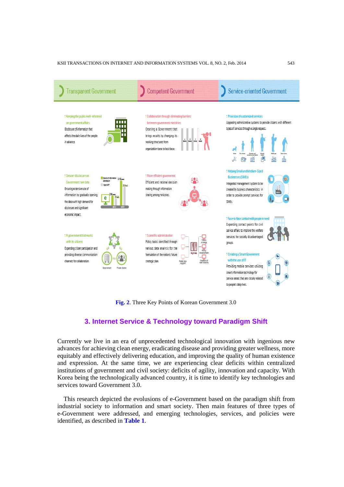

**Fig. 2**. Three Key Points of Korean Government 3.0

# **3. Internet Service & Technology toward Paradigm Shift**

Currently we live in an era of unprecedented technological innovation with ingenious new advances for achieving clean energy, eradicating disease and providing greater wellness, more equitably and effectively delivering education, and improving the quality of human existence and expression. At the same time, we are experiencing clear deficits within centralized institutions of government and civil society: deficits of agility, innovation and capacity. With Korea being the technologically advanced country, it is time to identify key technologies and services toward Government 3.0.

This research depicted the evolusions of e-Government based on the paradigm shift from industrial society to information and smart society. Then main features of three types of e-Government were addressed, and emerging technologies, services, and policies were identified, as described in **Table 1**.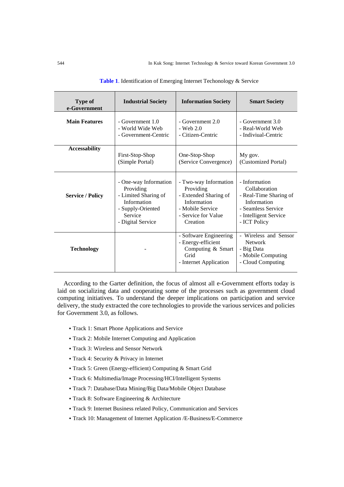| <b>Type of</b><br>e-Government | <b>Industrial Society</b> | <b>Information Society</b>                                                                          | <b>Smart Society</b>                                                                             |
|--------------------------------|---------------------------|-----------------------------------------------------------------------------------------------------|--------------------------------------------------------------------------------------------------|
| <b>Main Features</b>           | - Government 1.0          | $-$ Government $2.0$                                                                                | - Government 3.0                                                                                 |
|                                | - World Wide Web          | $-$ Web 2.0                                                                                         | - Real-World Web                                                                                 |
|                                | - Government-Centric      | - Citizen-Centric                                                                                   | - Indiviual-Centric                                                                              |
| <b>Accessability</b>           | First-Stop-Shop           | One-Stop-Shop                                                                                       | My gov.                                                                                          |
|                                | (Simple Portal)           | (Service Convergence)                                                                               | (Customized Portal)                                                                              |
| <b>Service / Policy</b>        | - One-way Information     | - Two-way Information                                                                               | - Information                                                                                    |
|                                | Providing                 | Providing                                                                                           | Collaboration                                                                                    |
|                                | - Limited Sharing of      | - Extended Sharing of                                                                               | - Real-Time Sharing of                                                                           |
|                                | Information               | Information                                                                                         | Information                                                                                      |
|                                | - Supply-Oriented         | - Mobile Service                                                                                    | - Seamless Service                                                                               |
|                                | Service                   | - Service for Value                                                                                 | - Intelligent Service                                                                            |
|                                | - Digital Service         | Creation                                                                                            | - ICT Policy                                                                                     |
| <b>Technology</b>              |                           | - Software Engineering<br>- Energy-efficient<br>Computing & Smart<br>Grid<br>- Internet Application | - Wireless and Sensor<br><b>Network</b><br>- Big Data<br>- Mobile Computing<br>- Cloud Computing |

|  |  | Table 1. Identification of Emerging Internet Techonology & Service |
|--|--|--------------------------------------------------------------------|
|--|--|--------------------------------------------------------------------|

According to the Garter definition, the focus of almost all e-Government efforts today is laid on socializing data and cooperating some of the processes such as government cloud computing initiatives. To understand the deeper implications on participation and service delivery, the study extracted the core technologies to provide the various services and policies for Government 3.0, as follows.

- Track 1: Smart Phone Applications and Service
- Track 2: Mobile Internet Computing and Application
- Track 3: Wireless and Sensor Network
- Track 4: Security & Privacy in Internet
- Track 5: Green (Energy-efficient) Computing & Smart Grid
- Track 6: Multimedia/Image Processing/HCI/Intelligent Systems
- Track 7: Database/Data Mining/Big Data/Mobile Object Database
- Track 8: Software Engineering & Architecture
- Track 9: Internet Business related Policy, Communication and Services
- Track 10: Management of Internet Application /E-Business/E-Commerce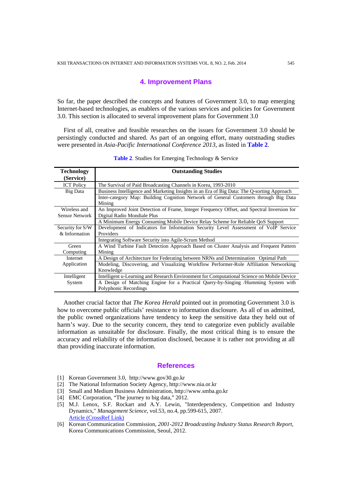#### **4. Improvement Plans**

So far, the paper described the concepts and features of Government 3.0, to map emerging Internet-based technologies, as enablers of the various services and policies for Government 3.0. This section is allocated to several improvement plans for Government 3.0

First of all, creative and feasible researches on the issues for Government 3.0 should be persistingly conducted and shared. As part of an ongoing effort, many outstnading studies were presented in *Asia-Pacific International Conference 2013*, as listed in **Table 2**.

| <b>Technology</b>     | <b>Outstanding Studies</b>                                                                 |
|-----------------------|--------------------------------------------------------------------------------------------|
| (Service)             |                                                                                            |
| <b>ICT Policy</b>     | The Survival of Paid Broadcasting Channels in Korea, 1993-2010                             |
| Big Data              | Business Intelligence and Marketing Insights in an Era of Big Data: The Q-sorting Approach |
|                       | Inter-category Map: Building Cognition Network of General Customers through Big Data       |
|                       | Mining                                                                                     |
| Wireless and          | An Improved Joint Detection of Frame, Integer Frequency Offset, and Spectral Inversion for |
| <b>Sensor Network</b> | Digital Radio Mondiale Plus                                                                |
|                       | A Minimum Energy Consuming Mobile Device Relay Scheme for Reliable OoS Support             |
| Security for S/W      | Development of Indicators for Information Security Level Assessment of VoIP Service        |
| & Information         | Providers                                                                                  |
|                       | Integrating Software Security into Agile-Scrum Method                                      |
| Green                 | A Wind Turbine Fault Detection Approach Based on Cluster Analysis and Frequent Pattern     |
| Computing             | Mining                                                                                     |
| Internet              | A Design of Architecture for Federating between NRNs and Determination Optimal Path        |
| Application           | Modeling, Discovering, and Visualizing Workflow Performer-Role Affiliation Networking      |
|                       | Knowledge                                                                                  |
| Intelligent           | Intelligent u-Learning and Research Environment for Computational Science on Mobile Device |
| System                | A Design of Matching Engine for a Practical Query-by-Singing /Humming System with          |
|                       | Polyphonic Recordings                                                                      |

Table 2. Studies for Emerging Technology & Service

Another crucial factor that *The Korea Herald* pointed out in promoting Government 3.0 is how to overcome public officials' resistance to information disclosure. As all of us admitted, the public owned organizations have tendency to keep the sensitive data they held out of harm's way. Due to the security concern, they tend to categorize even publicly available information as unsuitable for disclosure. Finally, the most critical thing is to ensure the accuracy and reliability of the information disclosed, because it is rather not providing at all than providing inaccurate information.

#### **References**

- [1] Korean Government 3.0, http://www.gov30.go.kr
- [2] The National Information Society Agency, http://www.nia.or.kr
- [3] Small and Medium Business Administration, http://www.smba.go.kr
- [4] EMC Corporation, "The journey to big data," 2012.
- [5] M.J. Lenox, S.F. Rockart and A.Y. Lewin, "Interdependency, Competition and Industry Dynamics," *Management Science*, vol.53, no.4, pp.599-615, 2007. [Article \(CrossRef Link\)](http://dx.doi.org/10.1287/mnsc.1060.0679)
- [6] Korean Communication Commission, *2001-2012 Broadcasting Industry Status Research Report*, Korea Communications Commission, Seoul, 2012.